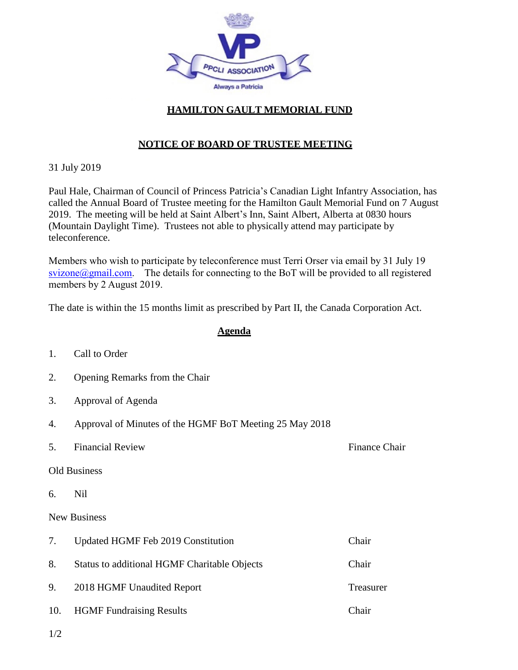

# **HAMILTON GAULT MEMORIAL FUND**

## **NOTICE OF BOARD OF TRUSTEE MEETING**

31 July 2019

Paul Hale, Chairman of Council of Princess Patricia's Canadian Light Infantry Association, has called the Annual Board of Trustee meeting for the Hamilton Gault Memorial Fund on 7 August 2019. The meeting will be held at Saint Albert's Inn, Saint Albert, Alberta at 0830 hours (Mountain Daylight Time). Trustees not able to physically attend may participate by teleconference.

Members who wish to participate by teleconference must Terri Orser via email by 31 July 19  $svizone@gmail.com$ . The details for connecting to the BoT will be provided to all registered members by 2 August 2019.

The date is within the 15 months limit as prescribed by Part II, the Canada Corporation Act.

## **Agenda**

- 1. Call to Order
- 2. Opening Remarks from the Chair
- 3. Approval of Agenda
- 4. Approval of Minutes of the HGMF BoT Meeting 25 May 2018
- 5. Financial Review **Finance Chair** Finance Chair

### Old Business

6. Nil

### New Business

| 7. | Updated HGMF Feb 2019 Constitution           | Chair     |
|----|----------------------------------------------|-----------|
| 8. | Status to additional HGMF Charitable Objects | Chair     |
|    | 9. 2018 HGMF Unaudited Report                | Treasurer |
|    | 10. HGMF Fundraising Results                 | Chair     |

1/2